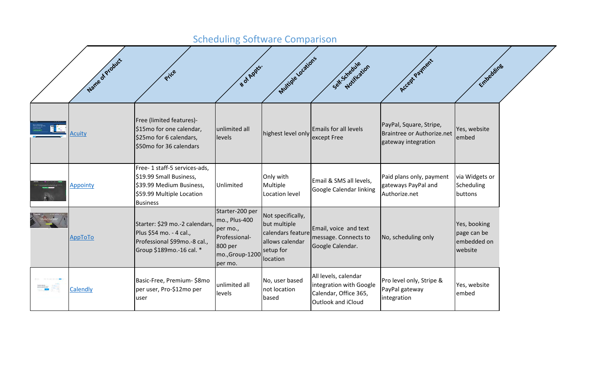## Scheduling Software Comparison

|          | Name of Product | Price                                                                                                                               | ັ<br><b># of Apples.</b>                                                                              | Multiple ocations                                                                                  | Set Schedule tion                                                                              | Accept Payment                                                               | Embedding                                             |  |
|----------|-----------------|-------------------------------------------------------------------------------------------------------------------------------------|-------------------------------------------------------------------------------------------------------|----------------------------------------------------------------------------------------------------|------------------------------------------------------------------------------------------------|------------------------------------------------------------------------------|-------------------------------------------------------|--|
|          | <b>Acuity</b>   | Free (limited features)-<br>\$15mo for one calendar,<br>\$25mo for 6 calendars,<br>\$50mo for 36 calendars                          | unlimited all<br>levels                                                                               | highest level only                                                                                 | <b>Emails for all levels</b><br>except Free                                                    | PayPal, Square, Stripe,<br>Braintree or Authorize.net<br>gateway integration | Yes, website<br>embed                                 |  |
|          | Appointy        | Free-1 staff-5 services-ads,<br>\$19.99 Small Business,<br>\$39.99 Medium Business,<br>\$59.99 Multiple Location<br><b>Business</b> | Unlimited                                                                                             | Only with<br>Multiple<br>Location level                                                            | Email & SMS all levels,<br>Google Calendar linking                                             | Paid plans only, payment<br>gateways PayPal and<br>Authorize.net             | via Widgets or<br>Scheduling<br>buttons               |  |
|          | AppToTo         | Starter: \$29 mo.-2 calendars,<br>Plus \$54 mo. - 4 cal.,<br>Professional \$99mo.-8 cal.,<br>Group \$189mo.-16 cal. *               | Starter-200 per<br>mo., Plus-400<br>per mo.,<br>Professional-<br>800 per<br>mo.,Group-1200<br>per mo. | Not specifically,<br>but multiple<br>calendars feature<br>allows calendar<br>setup for<br>location | Email, voice and text<br>message. Connects to<br>Google Calendar.                              | No, scheduling only                                                          | Yes, booking<br>page can be<br>embedded on<br>website |  |
| million. | Calendly        | Basic-Free, Premium-\$8mo<br>per user, Pro-\$12mo per<br>user                                                                       | unlimited all<br>levels                                                                               | No, user based<br>not location<br>based                                                            | All levels, calendar<br>integration with Google<br>Calendar, Office 365,<br>Outlook and iCloud | Pro level only, Stripe &<br>PayPal gateway<br>integration                    | Yes, website<br>embed                                 |  |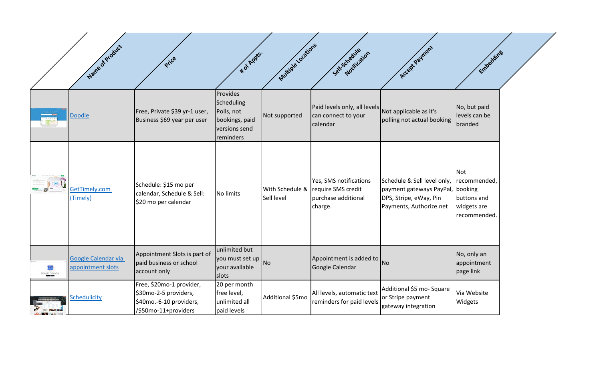|                                    | Name of Product                          | Price                                                                                                | <b>*</b> of Apples.                                                                  | Multiple ocations             | Self-Schedule Rion                                                             | Accept Payment                                                                                               | Embedding                                                                           |  |
|------------------------------------|------------------------------------------|------------------------------------------------------------------------------------------------------|--------------------------------------------------------------------------------------|-------------------------------|--------------------------------------------------------------------------------|--------------------------------------------------------------------------------------------------------------|-------------------------------------------------------------------------------------|--|
|                                    | <b>Doodle</b>                            | Free, Private \$39 yr-1 user,<br>Business \$69 year per user                                         | Provides<br>Scheduling<br>Polls, not<br>bookings, paid<br>versions send<br>reminders | Not supported                 | Paid levels only, all levels<br>can connect to your<br>calendar                | Not applicable as it's<br>polling not actual booking                                                         | No, but paid<br>levels can be<br>branded                                            |  |
|                                    | GetTimely.com<br>(Timely)                | Schedule: \$15 mo per<br>calendar, Schedule & Sell:<br>\$20 mo per calendar                          | No limits                                                                            | With Schedule &<br>Sell level | Yes, SMS notifications<br>require SMS credit<br>purchase additional<br>charge. | Schedule & Sell level only,<br>payment gateways PayPal,<br>DPS, Stripe, eWay, Pin<br>Payments, Authorize.net | <b>Not</b><br>recommended,<br>booking<br>buttons and<br>widgets are<br>recommended. |  |
| 31 <sub>1</sub><br>Coogle Calcodar | Google Calendar via<br>appointment slots | Appointment Slots is part of<br>paid business or school<br>account only                              | unlimited but<br>you must set up No<br>your available<br>slots                       |                               | Appointment is added to<br>Google Calendar                                     | No                                                                                                           | No, only an<br>appointment<br>page link                                             |  |
|                                    | <b>Schedulicity</b>                      | Free, \$20mo-1 provider,<br>\$30mo-2-5 providers,<br>\$40mo.-6-10 providers,<br>/\$50mo-11+providers | 20 per month<br>free level,<br>unlimited all<br>paid levels                          | Additional \$5mo              | All levels, automatic text<br>reminders for paid levels                        | Additional \$5 mo- Square<br>or Stripe payment<br>gateway integration                                        | Via Website<br>Widgets                                                              |  |